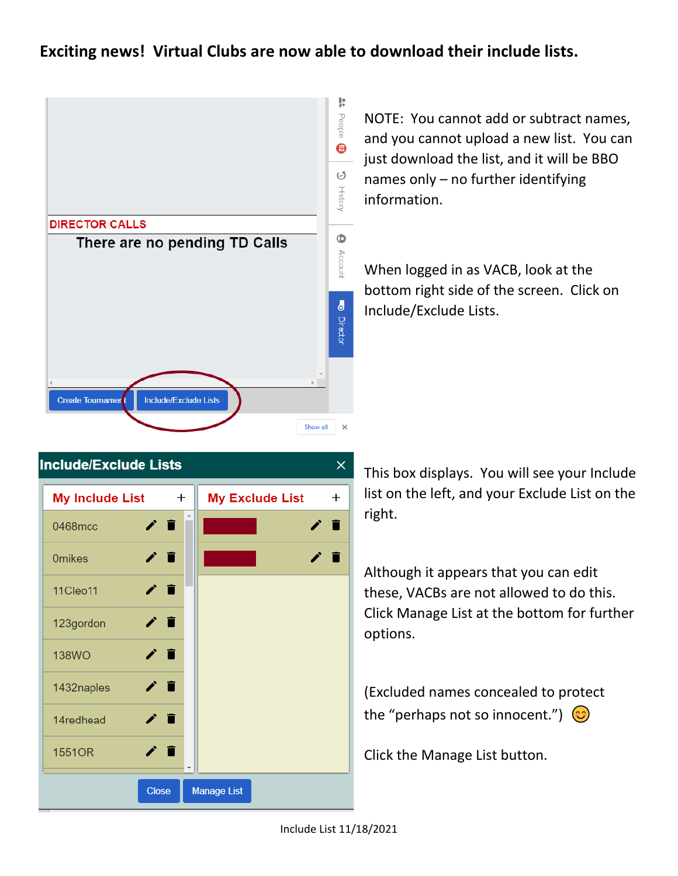## **Exciting news! Virtual Clubs are now able to download their include lists.**



NOTE: You cannot add or subtract names, and you cannot upload a new list. You can just download the list, and it will be BBO names only – no further identifying information.

When logged in as VACB, look at the bottom right side of the screen. Click on Include/Exclude Lists.



This box displays. You will see your Include list on the left, and your Exclude List on the right.

Although it appears that you can edit these, VACBs are not allowed to do this. Click Manage List at the bottom for further options.

(Excluded names concealed to protect the "perhaps not so innocent.")  $\odot$ 

Click the Manage List button.

Include List 11/18/2021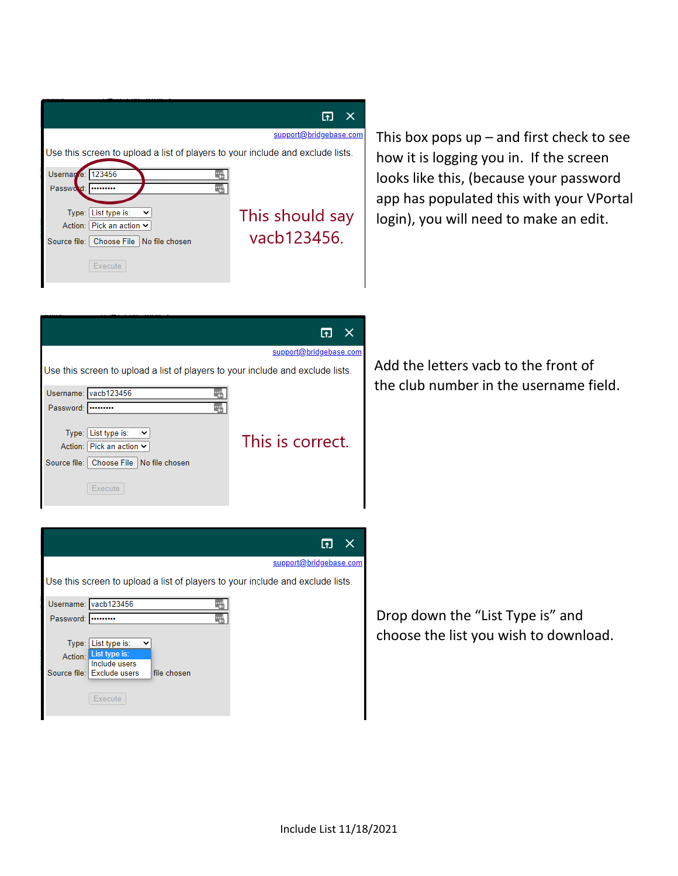|                                                                                |                                             | support@bridgebase.com |  |  |  |
|--------------------------------------------------------------------------------|---------------------------------------------|------------------------|--|--|--|
| Use this screen to upload a list of players to your include and exclude lists. |                                             |                        |  |  |  |
| Usernan e: 123456                                                              |                                             |                        |  |  |  |
| Password:                                                                      |                                             |                        |  |  |  |
|                                                                                |                                             |                        |  |  |  |
|                                                                                | Type: List type is:<br>$\check{ }$          | This should say        |  |  |  |
|                                                                                | Action: Pick an action ↓                    |                        |  |  |  |
|                                                                                | Source file:   Choose File   No file chosen | vacb123456.            |  |  |  |
|                                                                                | Execute                                     |                        |  |  |  |

This box pops  $up$  – and first check to see how it is logging you in. If the screen looks like this, (because your password app has populated this with your VPortal login), you will need to make an edit.

|                                                                                | $\times$               |  |  |  |
|--------------------------------------------------------------------------------|------------------------|--|--|--|
|                                                                                | support@bridgebase.com |  |  |  |
| Use this screen to upload a list of players to your include and exclude lists. |                        |  |  |  |
| Username: vacb123456                                                           |                        |  |  |  |
| Password:                                                                      |                        |  |  |  |
| Type: List type is:<br>$\check{ }$<br>Action: Pick an action $\vee$            | This is correct.       |  |  |  |
| Source file:   Choose File   No file chosen                                    |                        |  |  |  |
| Execute                                                                        |                        |  |  |  |

Add the letters vacb to the front of the club number in the username field.

|           | support@bridgebase.com                                                                                        |  |
|-----------|---------------------------------------------------------------------------------------------------------------|--|
|           | Use this screen to upload a list of players to your include and exclude lists.                                |  |
|           | Username: vacb123456                                                                                          |  |
| Password: |                                                                                                               |  |
| Action:   | Type: List type is:<br>List type is:<br>Include users<br>Source file: Exclude users<br>file chosen<br>Execute |  |

Drop down the "List Type is" and choose the list you wish to download.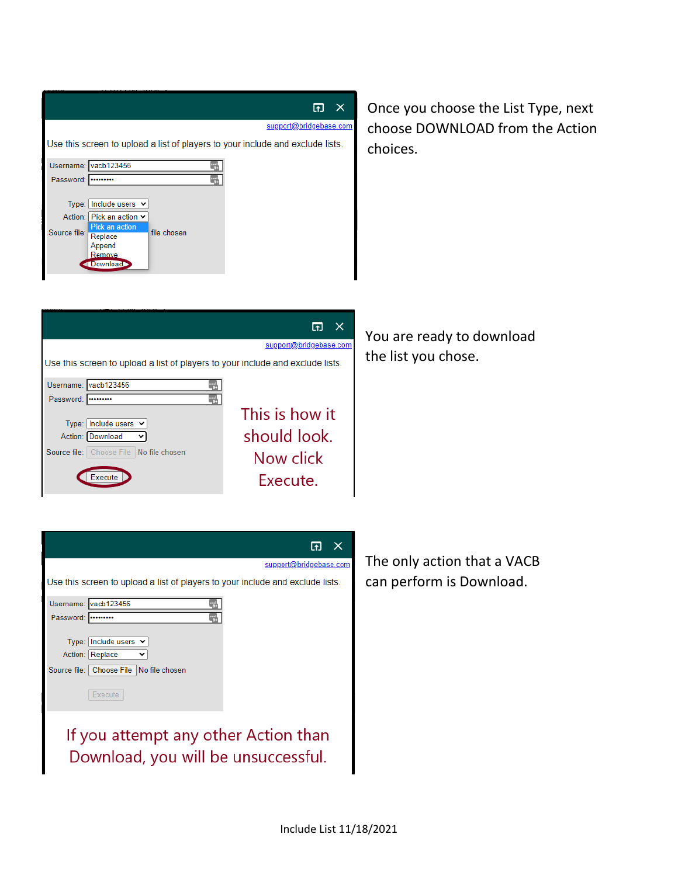| 団<br>$\mathsf{X}$<br>support@bridgebase.com<br>Use this screen to upload a list of players to your include and exclude lists.<br>Username: vacb123456<br>Password:<br>---------<br>Type: Include users $\vee$<br>  Pick an action ∨<br>Action:<br>Pick an action<br>Source file:<br>file chosen<br>Replace<br>Append<br>Remove<br>Download                        | Once you choose the List Type, next<br>choose DOWNLOAD from the Action<br>choices. |
|-------------------------------------------------------------------------------------------------------------------------------------------------------------------------------------------------------------------------------------------------------------------------------------------------------------------------------------------------------------------|------------------------------------------------------------------------------------|
| $\Box$ $\times$<br>support@bridgebase.com<br>Use this screen to upload a list of players to your include and exclude lists.<br>Username: vacb123456<br>Password:<br><br>This is how it<br>Type: Include users $\vee$<br>should look.<br>Action: Download<br>$\checkmark$<br>Source file:   Choose File   No file chosen<br>Now click<br>Execute<br>Execute.       | You are ready to download<br>the list you chose.                                   |
| $\overline{a}$<br>$\times$<br>support@bridgebase.com<br>Use this screen to upload a list of players to your include and exclude lists.<br>Username: vacb123456<br>Password:<br>Type: Include users $\vee$<br>Action: Replace<br>Source file: Choose File No file chosen<br>Execute<br>If you attempt any other Action than<br>Download, you will be unsuccessful. | The only action that a VACB<br>can perform is Download.                            |